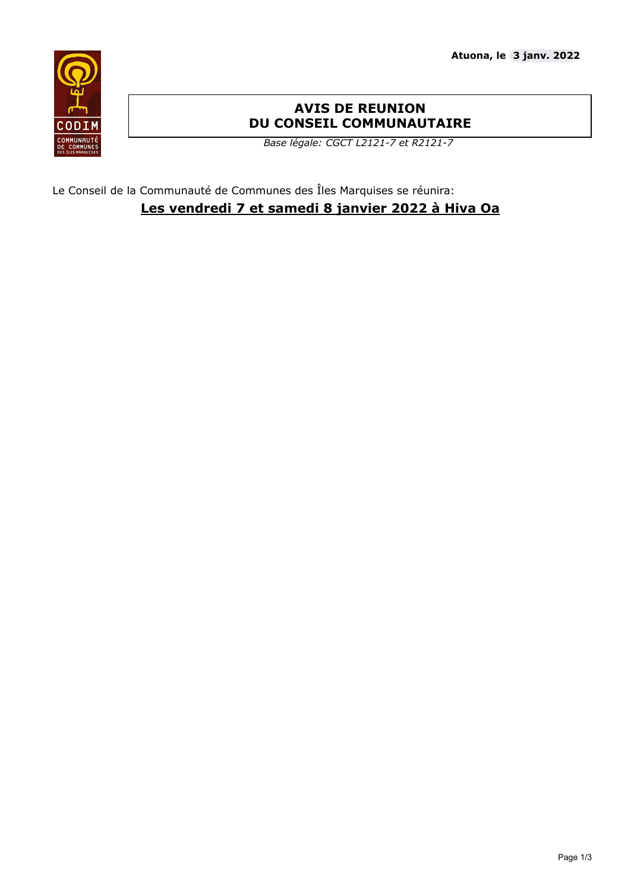

# **AVIS DE REUNION DU CONSEIL COMMUNAUTAIRE**

*Base légale: CGCT L2121-7 et R2121-7*

Le Conseil de la Communauté de Communes des Îles Marquises se réunira: **Les vendredi 7 et samedi 8 janvier 2022 à Hiva Oa**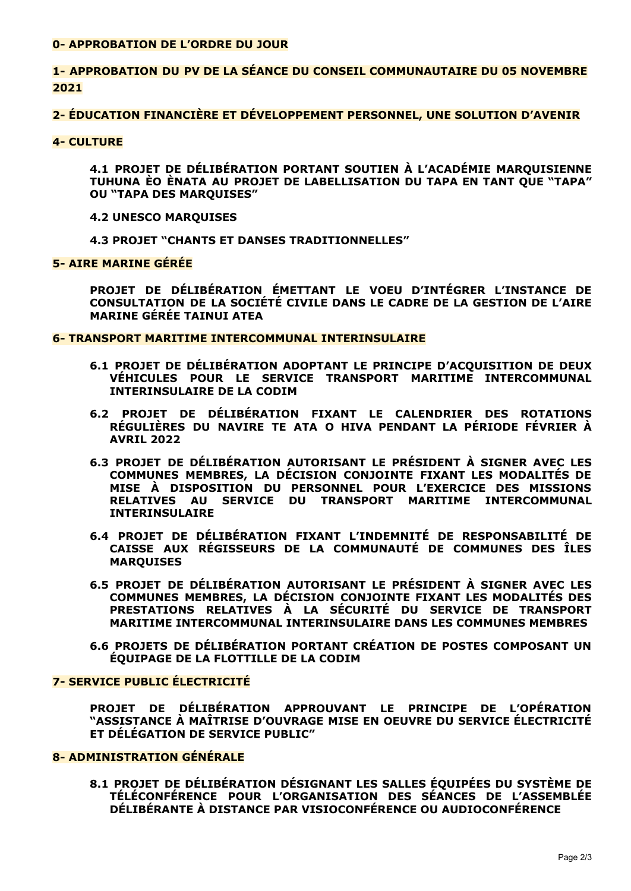#### 0- APPROBATION DE L'ORDRE DU JOUR

# 1- APPROBATION DU PV DE LA SÉANCE DU CONSEIL COMMUNAUTAIRE DU 05 NOVEMBRE 2021

# 2- ÉDUCATION FINANCIÈRE ET DÉVELOPPEMENT PERSONNEL, UNE SOLUTION D'AVENIR

#### **4- CULTURE**

4.1 PROJET DE DÉLIBÉRATION PORTANT SOUTIEN À L'ACADÉMIE MAROUISIENNE TUHUNA ÈO ÈNATA AU PROJET DE LABELLISATION DU TAPA EN TANT QUE "TAPA" **OU "TAPA DES MARQUISES"** 

#### **4.2 UNESCO MARQUISES**

**4.3 PROJET "CHANTS ET DANSES TRADITIONNELLES"** 

### **5- AIRE MARINE GÉRÉE**

PROJET DE DÉLIBÉRATION ÉMETTANT LE VOEU D'INTÉGRER L'INSTANCE DE CONSULTATION DE LA SOCIÉTÉ CIVILE DANS LE CADRE DE LA GESTION DE L'AIRE **MARINE GÉRÉE TAINUI ATEA** 

#### **6- TRANSPORT MARITIME INTERCOMMUNAL INTERINSULAIRE**

- 6.1 PROJET DE DÉLIBÉRATION ADOPTANT LE PRINCIPE D'ACOUISITION DE DEUX VÉHICULES POUR LE SERVICE TRANSPORT MARITIME INTERCOMMUNAL **INTERINSULAIRE DE LA CODIM**
- 6.2 PROJET DE DÉLIBÉRATION FIXANT LE CALENDRIER DES ROTATIONS RÉGULIÈRES DU NAVIRE TE ATA O HIVA PENDANT LA PÉRIODE FÉVRIER À **AVRTL 2022**
- 6.3 PROJET DE DÉLIBÉRATION AUTORISANT LE PRÉSIDENT À SIGNER AVEC LES COMMUNES MEMBRES, LA DÉCISION CONJOINTE FIXANT LES MODALITÉS DE MISE À DISPOSITION DU PERSONNEL POUR L'EXERCICE DES MISSIONS RELATIVES AU SERVICE DU TRANSPORT MARITIME INTERCOMMUNAL **INTERINSULAIRE**
- 6.4 PROJET DE DÉLIBÉRATION FIXANT L'INDEMNITÉ DE RESPONSABILITÉ DE CAISSE AUX RÉGISSEURS DE LA COMMUNAUTÉ DE COMMUNES DES ÎLES **MARQUISES**
- 6.5 PROJET DE DÉLIBÉRATION AUTORISANT LE PRÉSIDENT À SIGNER AVEC LES COMMUNES MEMBRES, LA DÉCISION CONJOINTE FIXANT LES MODALITÉS DES PRESTATIONS RELATIVES À LA SÉCURITÉ DU SERVICE DE TRANSPORT MARITIME INTERCOMMUNAL INTERINSULAIRE DANS LES COMMUNES MEMBRES
- 6.6 PROJETS DE DÉLIBÉRATION PORTANT CRÉATION DE POSTES COMPOSANT UN ÉOUIPAGE DE LA FLOTTILLE DE LA CODIM

# **7- SERVICE PUBLIC ÉLECTRICITÉ**

PROJET DE DÉLIBÉRATION APPROUVANT LE PRINCIPE DE L'OPÉRATION "ASSISTANCE À MAÎTRISE D'OUVRAGE MISE EN OEUVRE DU SERVICE ÉLECTRICITÉ ET DÉLÉGATION DE SERVICE PUBLIC"

# 8- ADMINISTRATION GÉNÉRALE

8.1 PROJET DE DÉLIBÉRATION DÉSIGNANT LES SALLES ÉOUIPÉES DU SYSTÈME DE TÉLÉCONFÉRENCE POUR L'ORGANISATION DES SÉANCES DE L'ASSEMBLÉE DÉLIBÉRANTE À DISTANCE PAR VISIOCONFÉRENCE OU AUDIOCONFÉRENCE